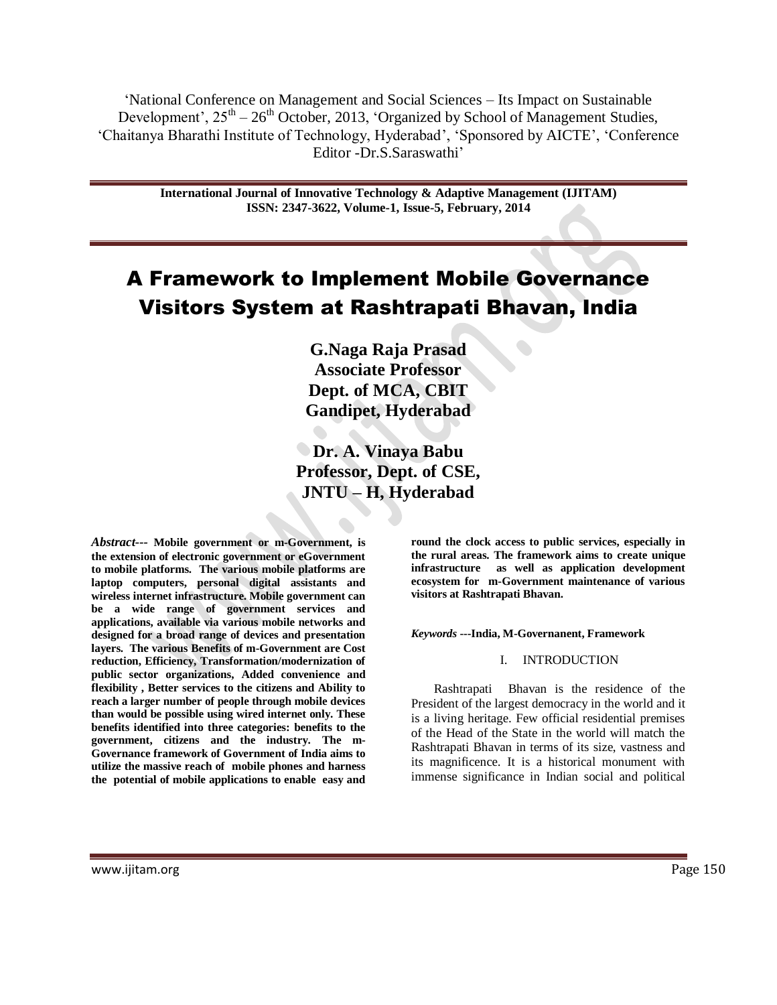‗National Conference on Management and Social Sciences – Its Impact on Sustainable Development',  $25<sup>th</sup> - 26<sup>th</sup>$  October, 2013, 'Organized by School of Management Studies, ‗Chaitanya Bharathi Institute of Technology, Hyderabad', ‗Sponsored by AICTE', ‗Conference Editor -Dr.S.Saraswathi'

> **International Journal of Innovative Technology & Adaptive Management (IJITAM) ISSN: 2347-3622, Volume-1, Issue-5, February, 2014**

# A Framework to Implement Mobile Governance Visitors System at Rashtrapati Bhavan, India

**G.Naga Raja Prasad Associate Professor Dept. of MCA, CBIT Gandipet, Hyderabad**

**Dr. A. Vinaya Babu Professor, Dept. of CSE, JNTU – H, Hyderabad**

*Abstract---* **Mobile government or m-Government, is the extension of electronic government or eGovernment to mobile platforms. The various mobile platforms are laptop computers, personal digital assistants and wireless internet infrastructure. Mobile government can be a wide range of government services and applications, available via various mobile networks and designed for a broad range of devices and presentation layers. The various Benefits of m-Government are Cost reduction, Efficiency, Transformation/modernization of public sector organizations, Added convenience and flexibility , Better services to the citizens and Ability to reach a larger number of people through mobile devices than would be possible using wired internet only. These benefits identified into three categories: benefits to the government, citizens and the industry. The m-Governance framework of Government of India aims to utilize the massive reach of mobile phones and harness the potential of mobile applications to enable easy and**  **round the clock access to public services, especially in the rural areas. The framework aims to create unique infrastructure as well as application development ecosystem for m-Government maintenance of various visitors at Rashtrapati Bhavan.**

*Keywords* **---India, M-Governanent, Framework**

### I. INTRODUCTION

Rashtrapati Bhavan is the residence of the President of the largest democracy in the world and it is a living heritage. Few official residential premises of the Head of the State in the world will match the Rashtrapati Bhavan in terms of its size, vastness and its magnificence. It is a historical monument with immense significance in Indian social and political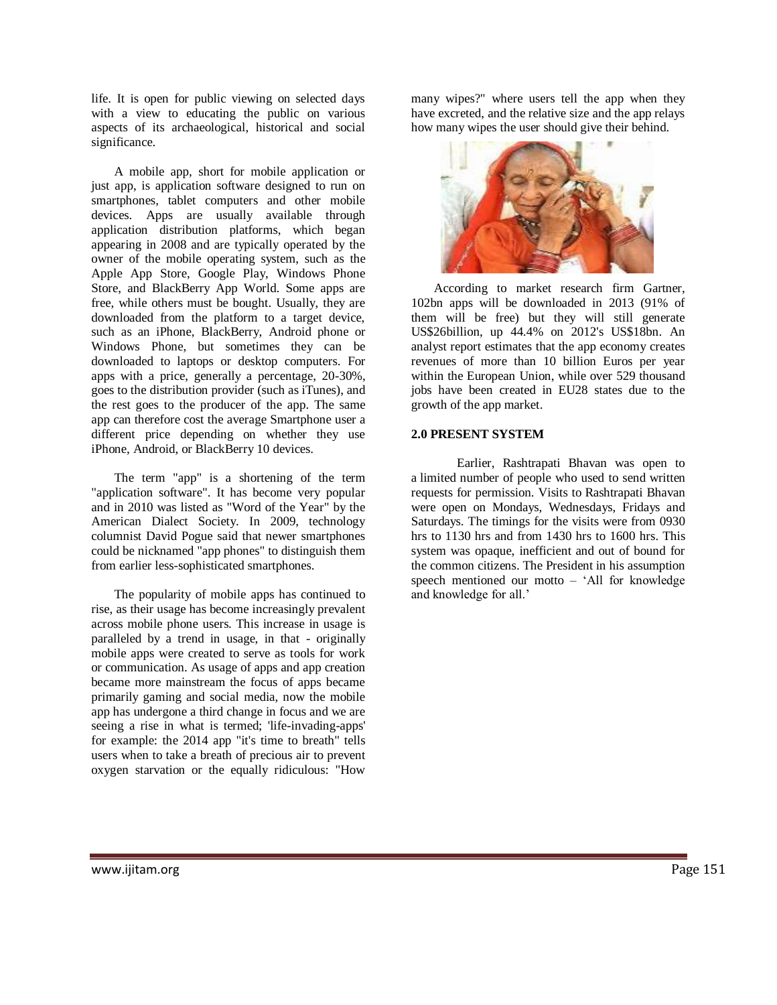life. It is open for public viewing on selected days with a view to educating the public on various aspects of its archaeological, historical and social significance.

A mobile app, short for mobile application or just app, is application software designed to run on smartphones, tablet computers and other mobile devices. Apps are usually available through application distribution platforms, which began appearing in 2008 and are typically operated by the owner of the mobile operating system, such as the Apple App Store, Google Play, Windows Phone Store, and BlackBerry App World. Some apps are free, while others must be bought. Usually, they are downloaded from the platform to a target device, such as an iPhone, BlackBerry, Android phone or Windows Phone, but sometimes they can be downloaded to laptops or desktop computers. For apps with a price, generally a percentage, 20-30%, goes to the distribution provider (such as iTunes), and the rest goes to the producer of the app. The same app can therefore cost the average Smartphone user a different price depending on whether they use iPhone, Android, or BlackBerry 10 devices.

The term "app" is a shortening of the term "application software". It has become very popular and in 2010 was listed as "Word of the Year" by the American Dialect Society. In 2009, technology columnist David Pogue said that newer smartphones could be nicknamed "app phones" to distinguish them from earlier less-sophisticated smartphones.

The popularity of mobile apps has continued to rise, as their usage has become increasingly prevalent across mobile phone users. This increase in usage is paralleled by a trend in usage, in that - originally mobile apps were created to serve as tools for work or communication. As usage of apps and app creation became more mainstream the focus of apps became primarily gaming and social media, now the mobile app has undergone a third change in focus and we are seeing a rise in what is termed; 'life-invading-apps' for example: the 2014 app "it's time to breath" tells users when to take a breath of precious air to prevent oxygen starvation or the equally ridiculous: "How

many wipes?" where users tell the app when they have excreted, and the relative size and the app relays how many wipes the user should give their behind.



According to market research firm Gartner, 102bn apps will be downloaded in 2013 (91% of them will be free) but they will still generate US\$26billion, up 44.4% on 2012's US\$18bn. An analyst report estimates that the app economy creates revenues of more than 10 billion Euros per year within the European Union, while over 529 thousand jobs have been created in EU28 states due to the growth of the app market.

## **2.0 PRESENT SYSTEM**

Earlier, Rashtrapati Bhavan was open to a limited number of people who used to send written requests for permission. Visits to Rashtrapati Bhavan were open on Mondays, Wednesdays, Fridays and Saturdays. The timings for the visits were from 0930 hrs to 1130 hrs and from 1430 hrs to 1600 hrs. This system was opaque, inefficient and out of bound for the common citizens. The President in his assumption speech mentioned our motto – ‗All for knowledge and knowledge for all.'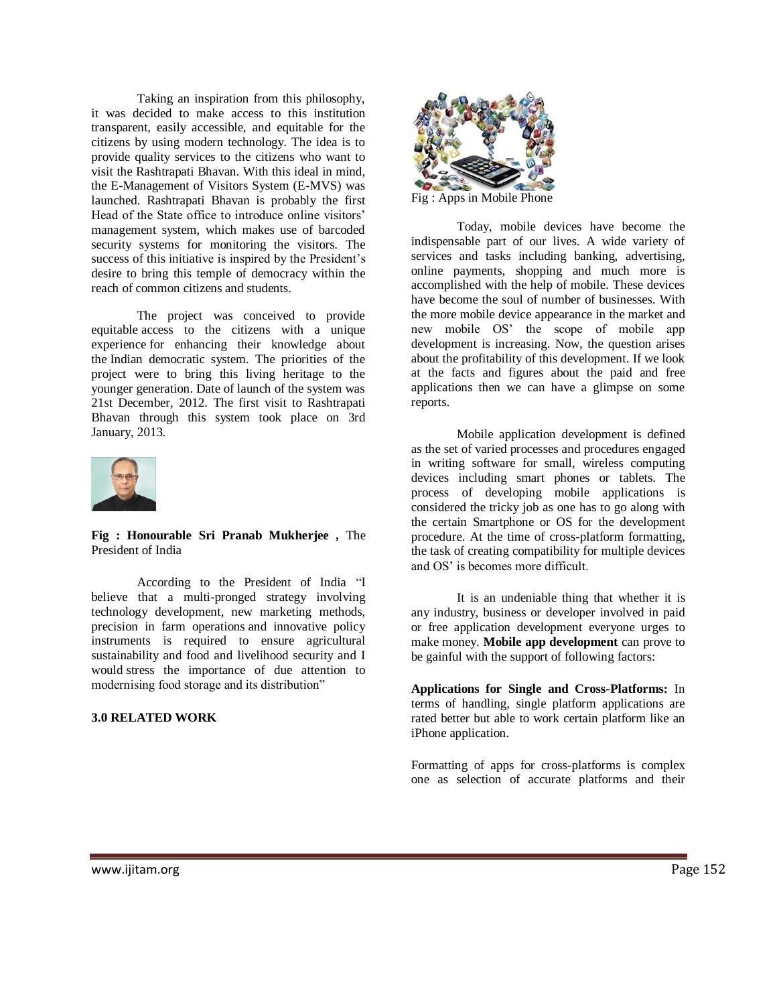Taking an inspiration from this philosophy, it was decided to make access to this institution transparent, easily accessible, and equitable for the citizens by using modern technology. The idea is to provide quality services to the citizens who want to visit the Rashtrapati Bhavan. With this ideal in mind, the E-Management of Visitors System (E-MVS) was launched. Rashtrapati Bhavan is probably the first Head of the State office to introduce online visitors' management system, which makes use of barcoded security systems for monitoring the visitors. The success of this initiative is inspired by the President's desire to bring this temple of democracy within the reach of common citizens and students.

The project was conceived to provide equitable access to the citizens with a unique experience for enhancing their knowledge about the Indian democratic system. The priorities of the project were to bring this living heritage to the younger generation. Date of launch of the system was 21st December, 2012. The first visit to Rashtrapati Bhavan through this system took place on 3rd January, 2013.



**Fig : Honourable Sri Pranab Mukherjee ,** The President of India

According to the President of India "I believe that a multi-pronged strategy involving technology development, new marketing methods, precision in farm operations and innovative policy instruments is required to ensure agricultural sustainability and food and livelihood security and I would stress the importance of due attention to modernising food storage and its distribution"

#### **3.0 RELATED WORK**



Fig : Apps in Mobile Phone

Today, mobile devices have become the indispensable part of our lives. A wide variety of services and tasks including banking, advertising, online payments, shopping and much more is accomplished with the help of mobile. These devices have become the soul of number of businesses. With the more mobile device appearance in the market and new mobile OS' the scope of mobile app development is increasing. Now, the question arises about the profitability of this development. If we look at the facts and figures about the paid and free applications then we can have a glimpse on some reports.

Mobile application development is defined as the set of varied processes and procedures engaged in writing software for small, wireless computing devices including smart phones or tablets. The process of developing mobile applications is considered the tricky job as one has to go along with the certain Smartphone or OS for the development procedure. At the time of cross-platform formatting, the task of creating compatibility for multiple devices and OS' is becomes more difficult.

It is an undeniable thing that whether it is any industry, business or developer involved in paid or free application development everyone urges to make money. **Mobile app development** can prove to be gainful with the support of following factors:

**Applications for Single and Cross-Platforms:** In terms of handling, single platform applications are rated better but able to work certain platform like an iPhone application.

Formatting of apps for cross-platforms is complex one as selection of accurate platforms and their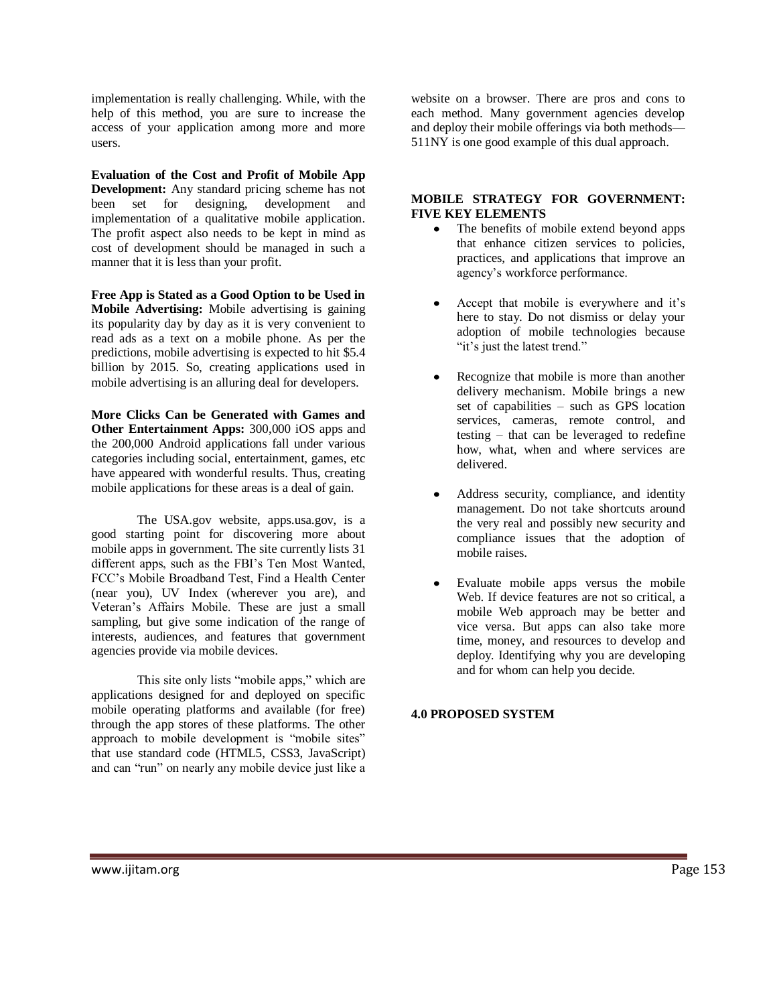implementation is really challenging. While, with the help of this method, you are sure to increase the access of your application among more and more users.

**Evaluation of the Cost and Profit of Mobile App Development:** Any standard pricing scheme has not been set for designing, development and implementation of a qualitative mobile application. The profit aspect also needs to be kept in mind as cost of development should be managed in such a manner that it is less than your profit.

**Free App is Stated as a Good Option to be Used in Mobile Advertising:** Mobile advertising is gaining its popularity day by day as it is very convenient to read ads as a text on a mobile phone. As per the predictions, mobile advertising is expected to hit \$5.4 billion by 2015. So, creating applications used in mobile advertising is an alluring deal for developers.

**More Clicks Can be Generated with Games and Other Entertainment Apps:** 300,000 iOS apps and the 200,000 Android applications fall under various categories including social, entertainment, games, etc have appeared with wonderful results. Thus, creating mobile applications for these areas is a deal of gain.

The USA.gov website, apps.usa.gov, is a good starting point for discovering more about mobile apps in government. The site currently lists 31 different apps, such as the FBI's Ten Most Wanted, FCC's Mobile Broadband Test, Find a Health Center (near you), UV Index (wherever you are), and Veteran's Affairs Mobile. These are just a small sampling, but give some indication of the range of interests, audiences, and features that government agencies provide via mobile devices.

This site only lists "mobile apps," which are applications designed for and deployed on specific mobile operating platforms and available (for free) through the app stores of these platforms. The other approach to mobile development is "mobile sites" that use standard code (HTML5, CSS3, JavaScript) and can "run" on nearly any mobile device just like a

website on a browser. There are pros and cons to each method. Many government agencies develop and deploy their mobile offerings via both methods— 511NY is one good example of this dual approach.

# **MOBILE STRATEGY FOR GOVERNMENT: FIVE KEY ELEMENTS**

- $\bullet$ The benefits of mobile extend beyond apps that enhance citizen services to policies, practices, and applications that improve an agency's workforce performance.
- Accept that mobile is everywhere and it's here to stay. Do not dismiss or delay your adoption of mobile technologies because "it's just the latest trend."
- Recognize that mobile is more than another delivery mechanism. Mobile brings a new set of capabilities – such as GPS location services, cameras, remote control, and testing – that can be leveraged to redefine how, what, when and where services are delivered.
- Address security, compliance, and identity management. Do not take shortcuts around the very real and possibly new security and compliance issues that the adoption of mobile raises.
- Evaluate mobile apps versus the mobile Web. If device features are not so critical, a mobile Web approach may be better and vice versa. But apps can also take more time, money, and resources to develop and deploy. Identifying why you are developing and for whom can help you decide.

# **4.0 PROPOSED SYSTEM**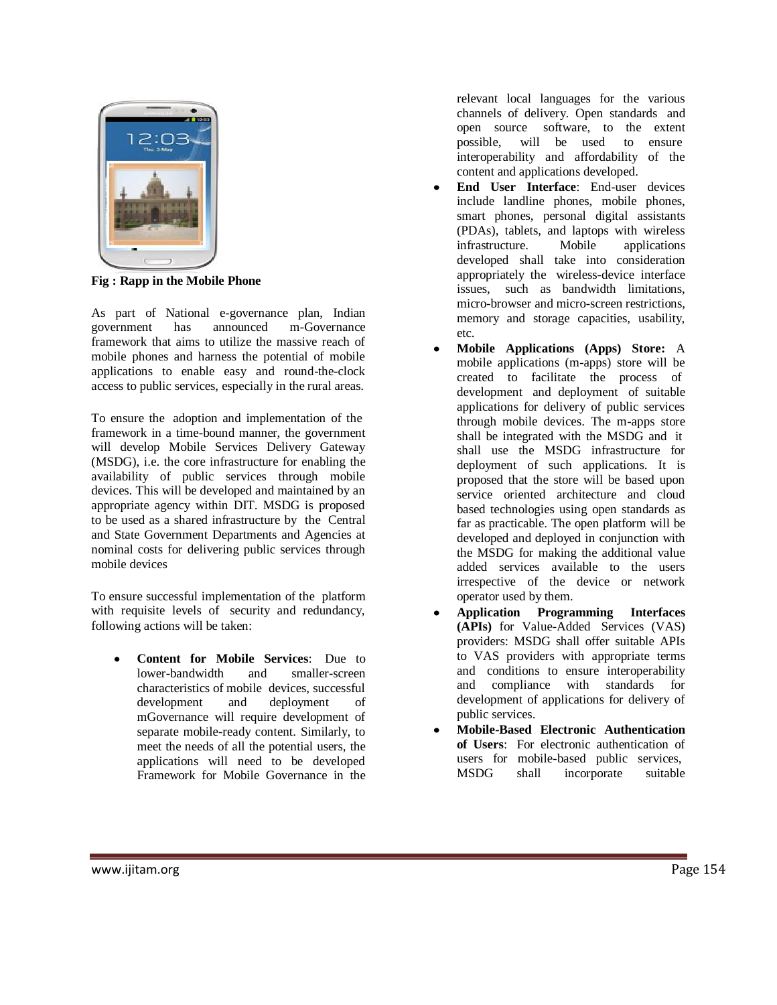

**Fig : Rapp in the Mobile Phone**

As part of National e-governance plan, Indian government has announced m-Governance framework that aims to utilize the massive reach of mobile phones and harness the potential of mobile applications to enable easy and round-the-clock access to public services, especially in the rural areas.

To ensure the adoption and implementation of the framework in a time-bound manner, the government will develop Mobile Services Delivery Gateway (MSDG), i.e. the core infrastructure for enabling the availability of public services through mobile devices. This will be developed and maintained by an appropriate agency within DIT. MSDG is proposed to be used as a shared infrastructure by the Central and State Government Departments and Agencies at nominal costs for delivering public services through mobile devices

To ensure successful implementation of the platform with requisite levels of security and redundancy, following actions will be taken:

**Content for Mobile Services**: Due to lower-bandwidth and smaller-screen characteristics of mobile devices, successful development and deployment of mGovernance will require development of separate mobile-ready content. Similarly, to meet the needs of all the potential users, the applications will need to be developed Framework for Mobile Governance in the relevant local languages for the various channels of delivery. Open standards and open source software, to the extent possible, will be used to ensure interoperability and affordability of the content and applications developed.

- **End User Interface**: End-user devices include landline phones, mobile phones, smart phones, personal digital assistants (PDAs), tablets, and laptops with wireless infrastructure. Mobile applications developed shall take into consideration appropriately the wireless-device interface issues, such as bandwidth limitations, micro-browser and micro-screen restrictions, memory and storage capacities, usability, etc.
- **Mobile Applications (Apps) Store:** A mobile applications (m-apps) store will be created to facilitate the process of development and deployment of suitable applications for delivery of public services through mobile devices. The m-apps store shall be integrated with the MSDG and it shall use the MSDG infrastructure for deployment of such applications. It is proposed that the store will be based upon service oriented architecture and cloud based technologies using open standards as far as practicable. The open platform will be developed and deployed in conjunction with the MSDG for making the additional value added services available to the users irrespective of the device or network operator used by them.
- **Application Programming Interfaces (APIs)** for Value-Added Services (VAS) providers: MSDG shall offer suitable APIs to VAS providers with appropriate terms and conditions to ensure interoperability and compliance with standards for development of applications for delivery of public services.
- **Mobile-Based Electronic Authentication of Users**: For electronic authentication of users for mobile-based public services, MSDG shall incorporate suitable